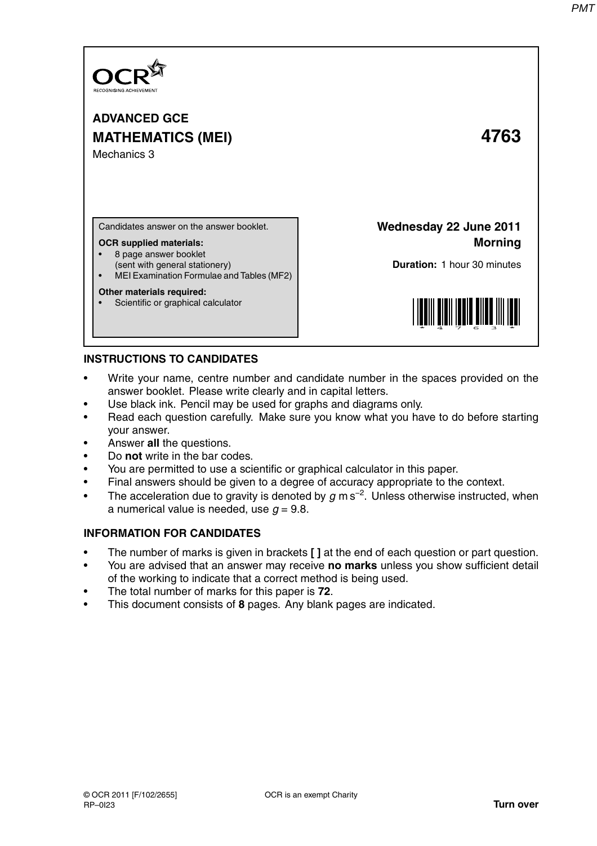

**ADVANCED GCE MATHEMATICS (MEI) 4763** Mechanics 3

Candidates answer on the answer booklet.

## **OCR supplied materials:**

- 8 page answer booklet
- (sent with general stationery)
- MEI Examination Formulae and Tables (MF2)

## **Other materials required:**

Scientific or graphical calculator

**Wednesday 22 June 2011 Morning**

**Duration:** 1 hour 30 minutes



## **INSTRUCTIONS TO CANDIDATES**

- Write your name, centre number and candidate number in the spaces provided on the answer booklet. Please write clearly and in capital letters.
- Use black ink. Pencil may be used for graphs and diagrams only.
- Read each question carefully. Make sure you know what you have to do before starting your answer.
- Answer **all** the questions.
- Do **not** write in the bar codes.
- You are permitted to use a scientific or graphical calculator in this paper.
- Final answers should be given to a degree of accuracy appropriate to the context.
- The acceleration due to gravity is denoted by  $g$  m s<sup>-2</sup>. Unless otherwise instructed, when a numerical value is needed, use  $q = 9.8$ .

## **INFORMATION FOR CANDIDATES**

- The number of marks is given in brackets **[ ]** at the end of each question or part question.
- You are advised that an answer may receive **no marks** unless you show sufficient detail of the working to indicate that a correct method is being used.
- The total number of marks for this paper is **72**.
- This document consists of **8** pages. Any blank pages are indicated.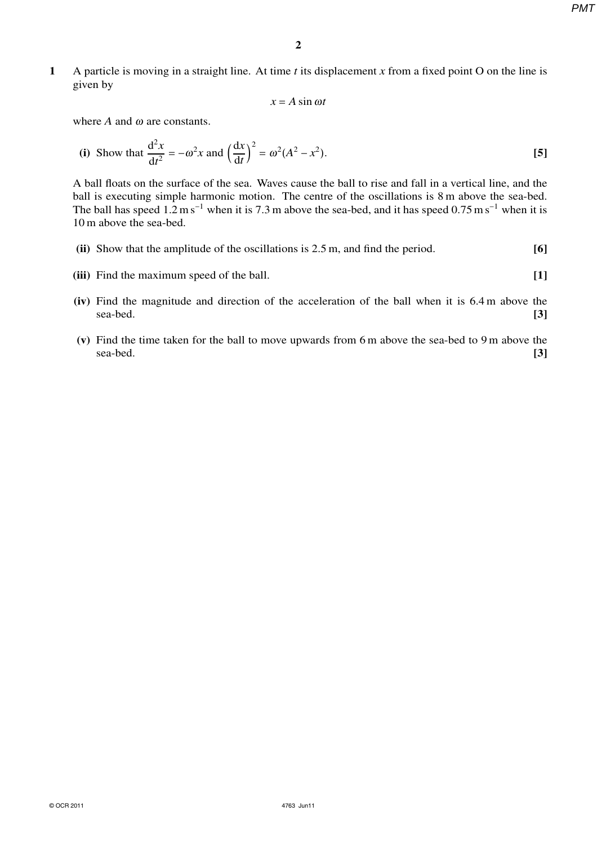**1** A particle is moving in a straight line. At time *t* its displacement *x* from a fixed point O on the line is given by

 $x = A \sin \omega t$ 

where *A* and <sup>ω</sup> are constants.

(i) Show that 
$$
\frac{d^2x}{dt^2} = -\omega^2 x
$$
 and 
$$
\left(\frac{dx}{dt}\right)^2 = \omega^2 (A^2 - x^2).
$$
 [5]

A ball floats on the surface of the sea. Waves cause the ball to rise and fall in a vertical line, and the ball is executing simple harmonic motion. The centre of the oscillations is 8 m above the sea-bed. The ball has speed  $1.2 \text{ m s}^{-1}$  when it is 7.3 m above the sea-bed, and it has speed 0.75 m s<sup>−1</sup> when it is 10 m above the sea-bed.

- **(ii)** Show that the amplitude of the oscillations is 2.5 m, and find the period. **[6]**
- **(iii)** Find the maximum speed of the ball. **[1]**
- **(iv)** Find the magnitude and direction of the acceleration of the ball when it is 6.4 m above the sea-bed. **[3]**
- **(v)** Find the time taken for the ball to move upwards from 6 m above the sea-bed to 9 m above the sea-bed. **[3]**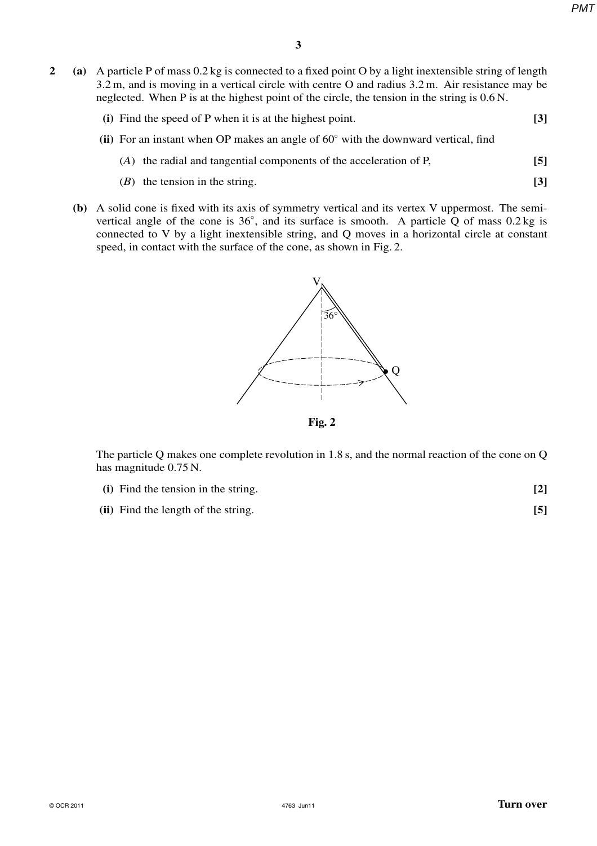**2 (a)** A particle P of mass 0.2 kg is connected to a fixed point O by a light inextensible string of length 3.2 m, and is moving in a vertical circle with centre O and radius 3.2 m. Air resistance may be neglected. When P is at the highest point of the circle, the tension in the string is 0.6 N.

| (i) Find the speed of P when it is at the highest point. | $[3]$ |
|----------------------------------------------------------|-------|
|                                                          |       |

- **(ii)** For an instant when OP makes an angle of 60◦ with the downward vertical, find
	- (*A*) the radial and tangential components of the acceleration of P, **[5]**
	- (*B*) the tension in the string. **[3]**
- **(b)** A solid cone is fixed with its axis of symmetry vertical and its vertex V uppermost. The semivertical angle of the cone is  $36^\circ$ , and its surface is smooth. A particle Q of mass  $0.2 \text{ kg}$  is connected to V by a light inextensible string, and Q moves in a horizontal circle at constant speed, in contact with the surface of the cone, as shown in Fig. 2.



**Fig. 2**

The particle Q makes one complete revolution in 1.8 s, and the normal reaction of the cone on Q has magnitude 0.75 N.

- **(i)** Find the tension in the string. **[2]**
- **(ii)** Find the length of the string. **[5]**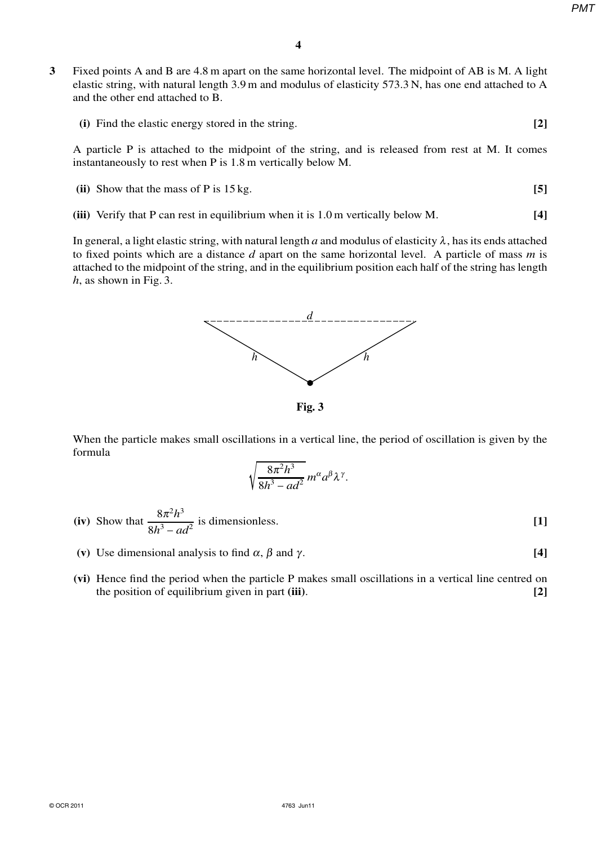- **3** Fixed points A and B are 4.8 m apart on the same horizontal level. The midpoint of AB is M. A light elastic string, with natural length 3.9 m and modulus of elasticity 573.3 N, has one end attached to A and the other end attached to B.
	- **(i)** Find the elastic energy stored in the string. **[2]**

A particle P is attached to the midpoint of the string, and is released from rest at M. It comes instantaneously to rest when P is 1.8 m vertically below M.

- **(ii)** Show that the mass of P is 15 kg. **[5]**
- **(iii)** Verify that P can rest in equilibrium when it is 1.0 m vertically below M. **[4]**

In general, a light elastic string, with natural length *a* and modulus of elasticity  $\lambda$ , has its ends attached to fixed points which are a distance *d* apart on the same horizontal level. A particle of mass *m* is attached to the midpoint of the string, and in the equilibrium position each half of the string has length *h*, as shown in Fig. 3.



**Fig. 3**

When the particle makes small oscillations in a vertical line, the period of oscillation is given by the formula

$$
\sqrt{\frac{8\pi^2h^3}{8h^3-ad^2}} m^{\alpha}a^{\beta}\lambda^{\gamma}.
$$

(iv) Show that 
$$
\frac{8\pi^2 h^3}{8h^3 - ad^2}
$$
 is dimensionless. [1]

- (v) Use dimensional analysis to find  $\alpha$ ,  $\beta$  and  $\gamma$ . **[4]** [4]
- **(vi)** Hence find the period when the particle P makes small oscillations in a vertical line centred on the position of equilibrium given in part **(iii)**. **[2]**